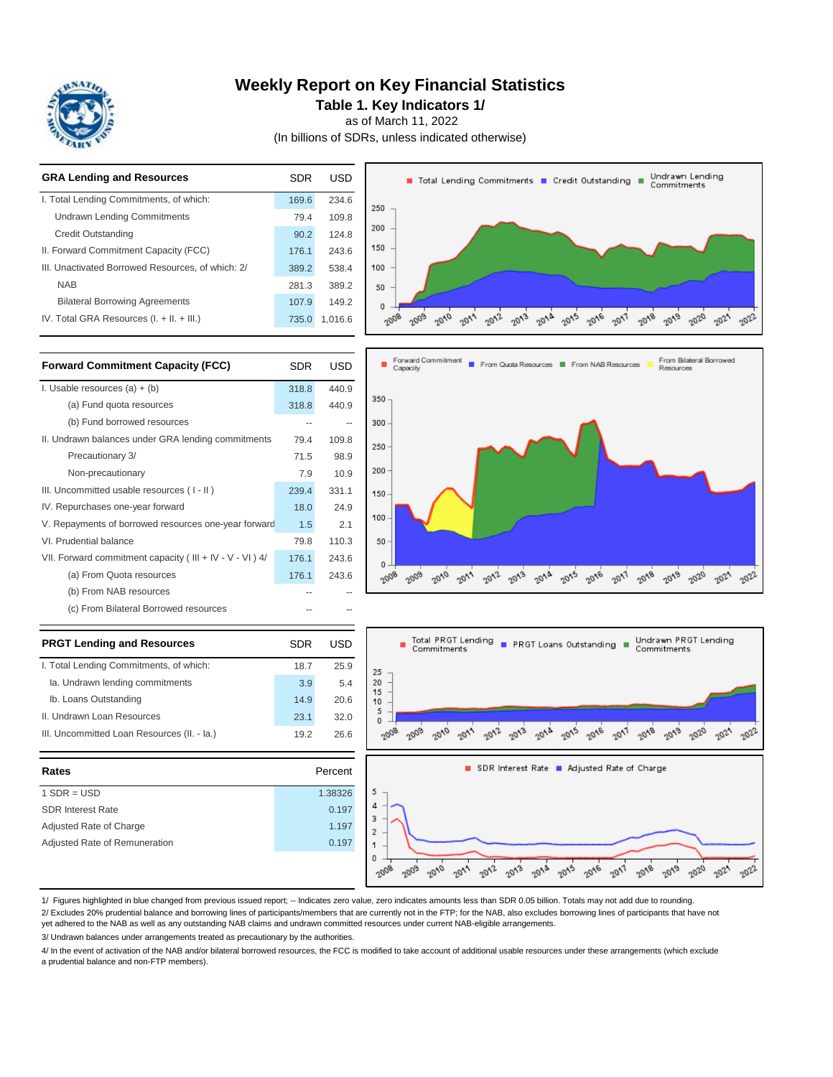

### **Weekly Report on Key Financial Statistics**

**Table 1. Key Indicators 1/**

as of March 11, 2022

(In billions of SDRs, unless indicated otherwise)

| <b>GRA Lending and Resources</b>                  | SDR   | USD     | Undrawn Lending<br>Total Lending Commitments T Credit Outstanding<br>Commitments                                                                                    |
|---------------------------------------------------|-------|---------|---------------------------------------------------------------------------------------------------------------------------------------------------------------------|
| I. Total Lending Commitments, of which:           | 169.6 | 234.6   | $250 -$                                                                                                                                                             |
| <b>Undrawn Lending Commitments</b>                | 79.4  | 109.8   |                                                                                                                                                                     |
| <b>Credit Outstanding</b>                         | 90.2  | 124.8   | $200 -$                                                                                                                                                             |
| II. Forward Commitment Capacity (FCC)             | 176.1 | 243.6   | $150 -$                                                                                                                                                             |
| III. Unactivated Borrowed Resources, of which: 2/ | 389.2 | 538.4   | 100                                                                                                                                                                 |
| <b>NAB</b>                                        | 281.3 | 389.2   | 50                                                                                                                                                                  |
| <b>Bilateral Borrowing Agreements</b>             | 107.9 | 149.2   | 0                                                                                                                                                                   |
| IV. Total GRA Resources (I. + II. + III.)         | 735.0 | 1,016.6 | $c_{\rho_{Q\cap}}$<br>$20^{12}$<br>$20^{13}$<br>2016<br>$20^{17}$<br>$20\sqrt{g}$<br>2010<br>2014<br>$20\sqrt{g}$<br>ns22<br>2020<br>2008<br>$20^4$<br>-021<br>2003 |
|                                                   |       |         |                                                                                                                                                                     |

| <b>Forward Commitment Capacity (FCC)</b>                  | <b>SDR</b> | <b>USD</b> |
|-----------------------------------------------------------|------------|------------|
| I. Usable resources $(a) + (b)$                           | 318.8      | 440.9      |
| (a) Fund quota resources                                  | 318.8      | 440.9      |
| (b) Fund borrowed resources                               |            |            |
| II. Undrawn balances under GRA lending commitments        | 79.4       | 109.8      |
| Precautionary 3/                                          | 71.5       | 98.9       |
| Non-precautionary                                         | 7.9        | 10.9       |
| III. Uncommitted usable resources (I-II)                  | 239.4      | 331.1      |
| IV. Repurchases one-year forward                          | 18.0       | 24.9       |
| V. Repayments of borrowed resources one-year forward      | 1.5        | 2.1        |
| VI. Prudential balance                                    | 79.8       | 110.3      |
| VII. Forward commitment capacity (III + IV - V - VI) $4/$ | 176.1      | 243.6      |
| (a) From Quota resources                                  | 176.1      | 243.6      |
| (b) From NAB resources                                    |            |            |
| (c) From Bilateral Borrowed resources                     |            |            |
| <b>PRGT Lending and Resources</b>                         | SDR        | USD        |

| I. Total Lending Commitments, of which:     | 18.7 | 25.9 |
|---------------------------------------------|------|------|
| Ia. Undrawn lending commitments             | 3.9  | 5.4  |
| Ib. Loans Outstanding                       | 14.9 | 20 R |
| II. Undrawn Loan Resources                  | 23.1 | 320  |
| III. Uncommitted Loan Resources (II. - Ia.) | 192  | 26.6 |

| III. Uncommitted Loan Resources (II. - Ia.) | 26.6<br>19.2 | 90'    |
|---------------------------------------------|--------------|--------|
| Rates                                       | Percent      |        |
| $1$ SDR = USD                               | 1.38326      | 5      |
| <b>SDR Interest Rate</b>                    | 0.197        | 4      |
| Adjusted Rate of Charge                     | 1.197        | 3<br>2 |
| Adjusted Rate of Remuneration               | 0.197        |        |
|                                             |              | 0      |





1/ Figures highlighted in blue changed from previous issued report; -- Indicates zero value, zero indicates amounts less than SDR 0.05 billion. Totals may not add due to rounding. 2/ Excludes 20% prudential balance and borrowing lines of participants/members that are currently not in the FTP; for the NAB, also excludes borrowing lines of participants that have not

yet adhered to the NAB as well as any outstanding NAB claims and undrawn committed resources under current NAB-eligible arrangements.

3/ Undrawn balances under arrangements treated as precautionary by the authorities.

4/ In the event of activation of the NAB and/or bilateral borrowed resources, the FCC is modified to take account of additional usable resources under these arrangements (which exclude a prudential balance and non-FTP members).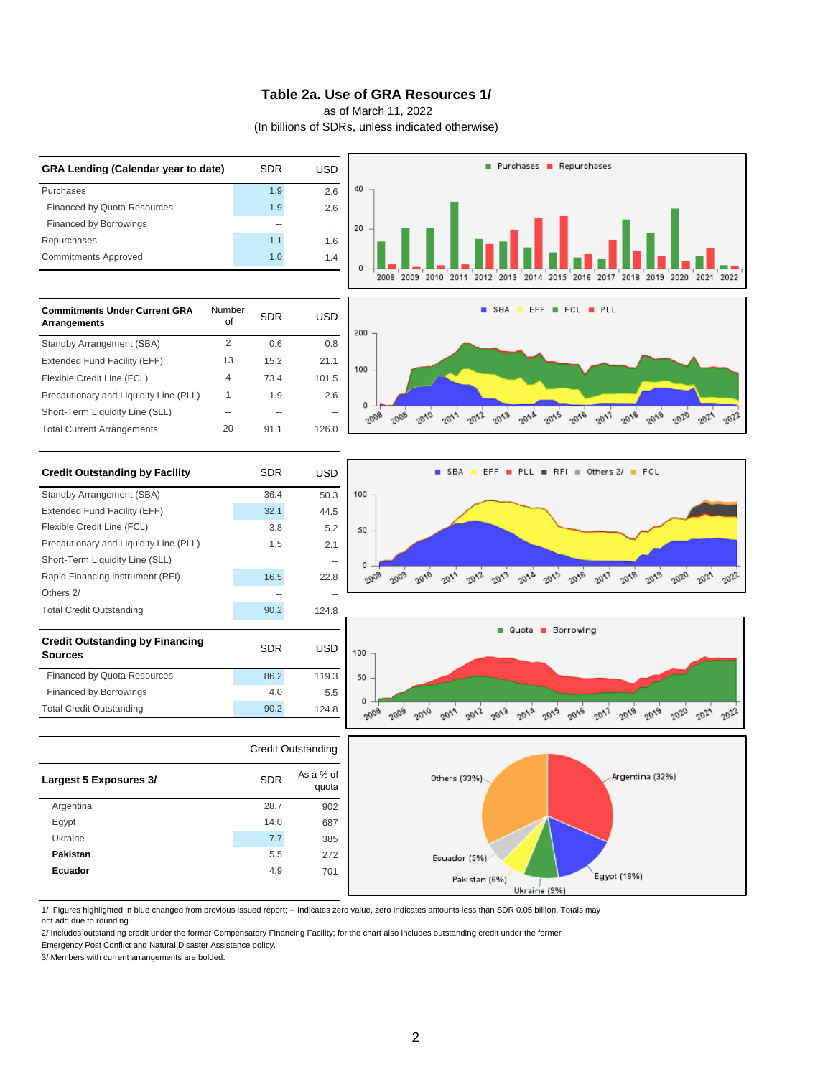#### **Table 2a. Use of GRA Resources 1/**

as of March 11, 2022

(In billions of SDRs, unless indicated otherwise)



1/ Figures highlighted in blue changed from previous issued report; -- Indicates zero value, zero indicates amounts less than SDR 0.05 billion. Totals may not add due to rounding.

2/ Includes outstanding credit under the former Compensatory Financing Facility; for the chart also includes outstanding credit under the former

Emergency Post Conflict and Natural Disaster Assistance policy.

3/ Members with current arrangements are bolded.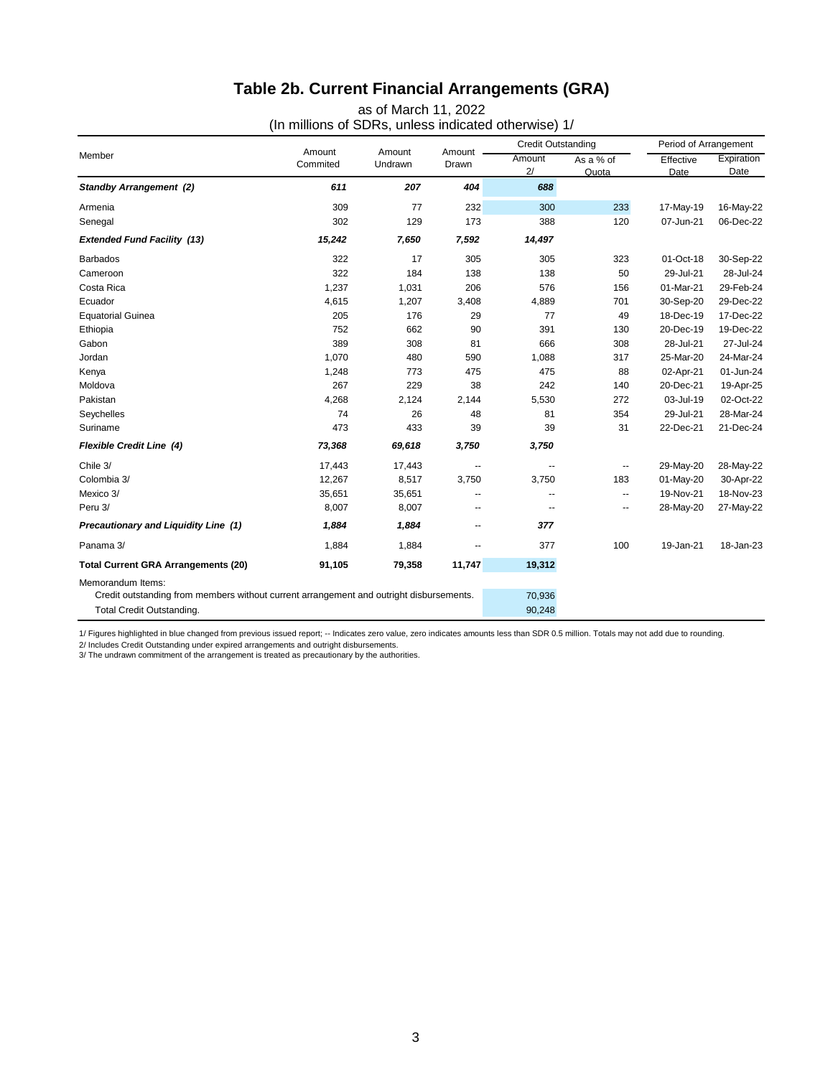# **Table 2b. Current Financial Arrangements (GRA)**

as of March 11, 2022

(In millions of SDRs, unless indicated otherwise) 1/

| Member                                                                                  |                    | Amount<br>Undrawn |                 | <b>Credit Outstanding</b> |                          | Period of Arrangement |                    |
|-----------------------------------------------------------------------------------------|--------------------|-------------------|-----------------|---------------------------|--------------------------|-----------------------|--------------------|
|                                                                                         | Amount<br>Commited |                   | Amount<br>Drawn | Amount<br>2/              | As a % of<br>Quota       | Effective<br>Date     | Expiration<br>Date |
| <b>Standby Arrangement (2)</b>                                                          | 611                | 207               | 404             | 688                       |                          |                       |                    |
| Armenia                                                                                 | 309                | 77                | 232             | 300                       | 233                      | 17-May-19             | 16-May-22          |
| Senegal                                                                                 | 302                | 129               | 173             | 388                       | 120                      | 07-Jun-21             | 06-Dec-22          |
| <b>Extended Fund Facility (13)</b>                                                      | 15,242             | 7,650             | 7,592           | 14,497                    |                          |                       |                    |
| <b>Barbados</b>                                                                         | 322                | 17                | 305             | 305                       | 323                      | 01-Oct-18             | 30-Sep-22          |
| Cameroon                                                                                | 322                | 184               | 138             | 138                       | 50                       | 29-Jul-21             | 28-Jul-24          |
| Costa Rica                                                                              | 1,237              | 1,031             | 206             | 576                       | 156                      | 01-Mar-21             | 29-Feb-24          |
| Ecuador                                                                                 | 4,615              | 1,207             | 3,408           | 4,889                     | 701                      | 30-Sep-20             | 29-Dec-22          |
| <b>Equatorial Guinea</b>                                                                | 205                | 176               | 29              | 77                        | 49                       | 18-Dec-19             | 17-Dec-22          |
| Ethiopia                                                                                | 752                | 662               | 90              | 391                       | 130                      | 20-Dec-19             | 19-Dec-22          |
| Gabon                                                                                   | 389                | 308               | 81              | 666                       | 308                      | 28-Jul-21             | 27-Jul-24          |
| Jordan                                                                                  | 1,070              | 480               | 590             | 1,088                     | 317                      | 25-Mar-20             | 24-Mar-24          |
| Kenya                                                                                   | 1,248              | 773               | 475             | 475                       | 88                       | 02-Apr-21             | 01-Jun-24          |
| Moldova                                                                                 | 267                | 229               | 38              | 242                       | 140                      | 20-Dec-21             | 19-Apr-25          |
| Pakistan                                                                                | 4,268              | 2,124             | 2,144           | 5,530                     | 272                      | 03-Jul-19             | 02-Oct-22          |
| Seychelles                                                                              | 74                 | 26                | 48              | 81                        | 354                      | 29-Jul-21             | 28-Mar-24          |
| Suriname                                                                                | 473                | 433               | 39              | 39                        | 31                       | 22-Dec-21             | 21-Dec-24          |
| <b>Flexible Credit Line (4)</b>                                                         | 73,368             | 69,618            | 3,750           | 3,750                     |                          |                       |                    |
| Chile 3/                                                                                | 17,443             | 17,443            | --              | --                        | $\overline{\phantom{a}}$ | 29-May-20             | 28-May-22          |
| Colombia 3/                                                                             | 12,267             | 8,517             | 3,750           | 3,750                     | 183                      | 01-May-20             | 30-Apr-22          |
| Mexico 3/                                                                               | 35,651             | 35,651            | --              | --                        | --                       | 19-Nov-21             | 18-Nov-23          |
| Peru 3/                                                                                 | 8,007              | 8,007             | --              | --                        | --                       | 28-May-20             | 27-May-22          |
| Precautionary and Liquidity Line (1)                                                    | 1,884              | 1,884             | −−              | 377                       |                          |                       |                    |
| Panama 3/                                                                               | 1,884              | 1,884             | --              | 377                       | 100                      | 19-Jan-21             | 18-Jan-23          |
| <b>Total Current GRA Arrangements (20)</b>                                              | 91,105             | 79,358            | 11,747          | 19,312                    |                          |                       |                    |
| Memorandum Items:                                                                       |                    |                   |                 |                           |                          |                       |                    |
| Credit outstanding from members without current arrangement and outright disbursements. |                    |                   |                 | 70,936                    |                          |                       |                    |
| Total Credit Outstanding.                                                               |                    |                   |                 | 90,248                    |                          |                       |                    |

1/ Figures highlighted in blue changed from previous issued report; -- Indicates zero value, zero indicates amounts less than SDR 0.5 million. Totals may not add due to rounding.

2/ Includes Credit Outstanding under expired arrangements and outright disbursements. 3/ The undrawn commitment of the arrangement is treated as precautionary by the authorities.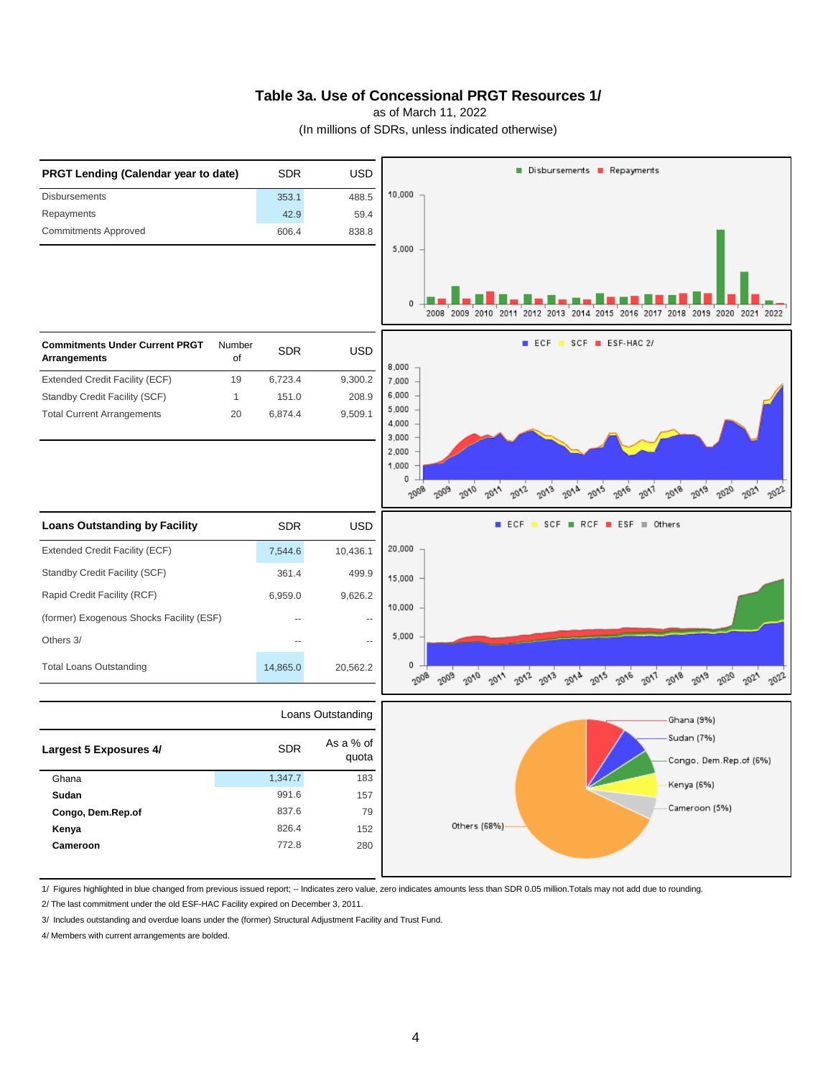#### **Table 3a. Use of Concessional PRGT Resources 1/**

as of March 11, 2022

(In millions of SDRs, unless indicated otherwise)



1/ Figures highlighted in blue changed from previous issued report; -- Indicates zero value, zero indicates amounts less than SDR 0.05 million.Totals may not add due to rounding.

2/ The last commitment under the old ESF-HAC Facility expired on December 3, 2011.

3/ Includes outstanding and overdue loans under the (former) Structural Adjustment Facility and Trust Fund.

4/ Members with current arrangements are bolded.